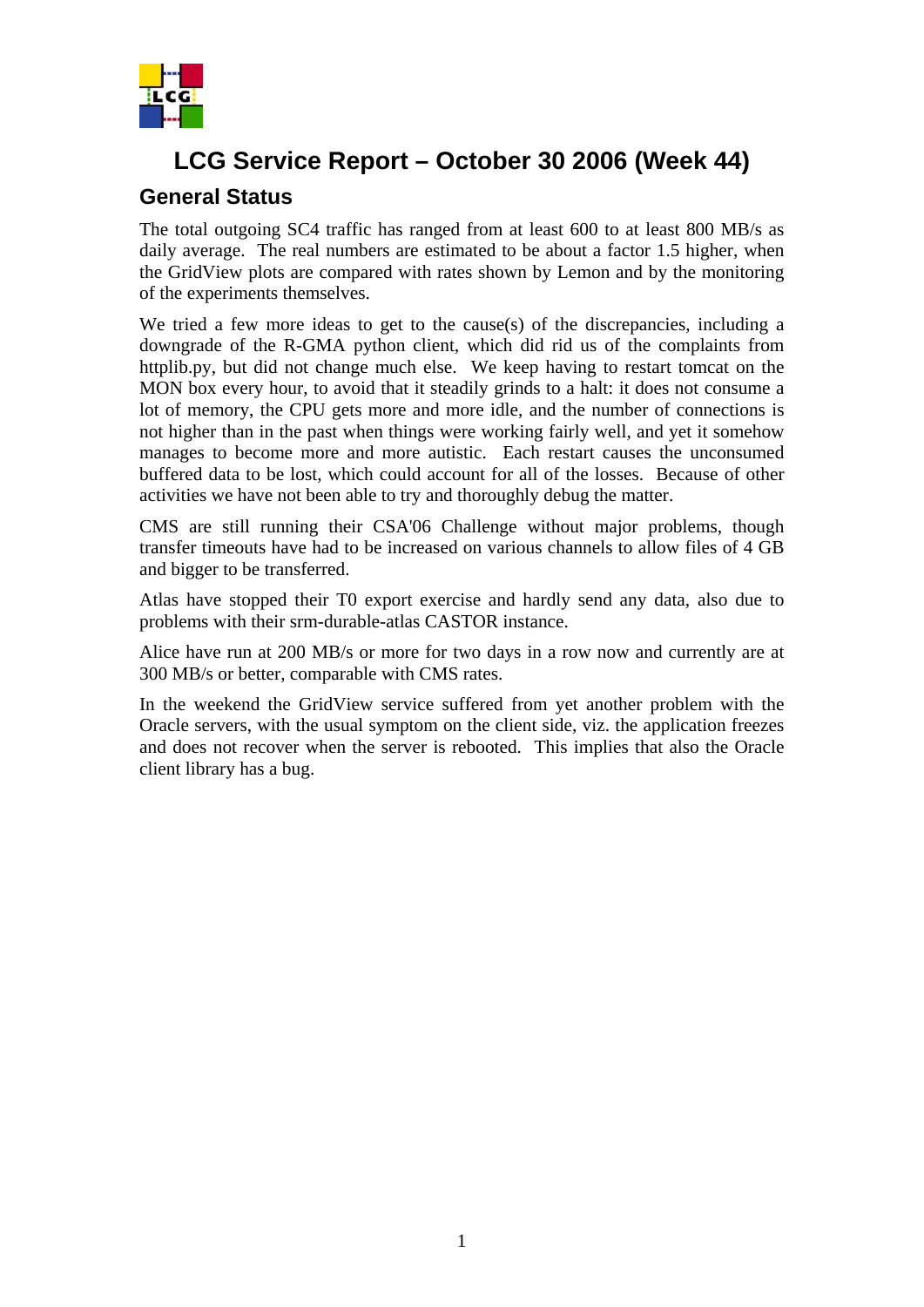

## **LCG Service Report – October 30 2006 (Week 44)**

#### **General Status**

The total outgoing SC4 traffic has ranged from at least 600 to at least 800 MB/s as daily average. The real numbers are estimated to be about a factor 1.5 higher, when the GridView plots are compared with rates shown by Lemon and by the monitoring of the experiments themselves.

We tried a few more ideas to get to the cause(s) of the discrepancies, including a downgrade of the R-GMA python client, which did rid us of the complaints from httplib.py, but did not change much else. We keep having to restart tomcat on the MON box every hour, to avoid that it steadily grinds to a halt: it does not consume a lot of memory, the CPU gets more and more idle, and the number of connections is not higher than in the past when things were working fairly well, and yet it somehow manages to become more and more autistic. Each restart causes the unconsumed buffered data to be lost, which could account for all of the losses. Because of other activities we have not been able to try and thoroughly debug the matter.

CMS are still running their CSA'06 Challenge without major problems, though transfer timeouts have had to be increased on various channels to allow files of 4 GB and bigger to be transferred.

Atlas have stopped their T0 export exercise and hardly send any data, also due to problems with their srm-durable-atlas CASTOR instance.

Alice have run at 200 MB/s or more for two days in a row now and currently are at 300 MB/s or better, comparable with CMS rates.

In the weekend the GridView service suffered from yet another problem with the Oracle servers, with the usual symptom on the client side, viz. the application freezes and does not recover when the server is rebooted. This implies that also the Oracle client library has a bug.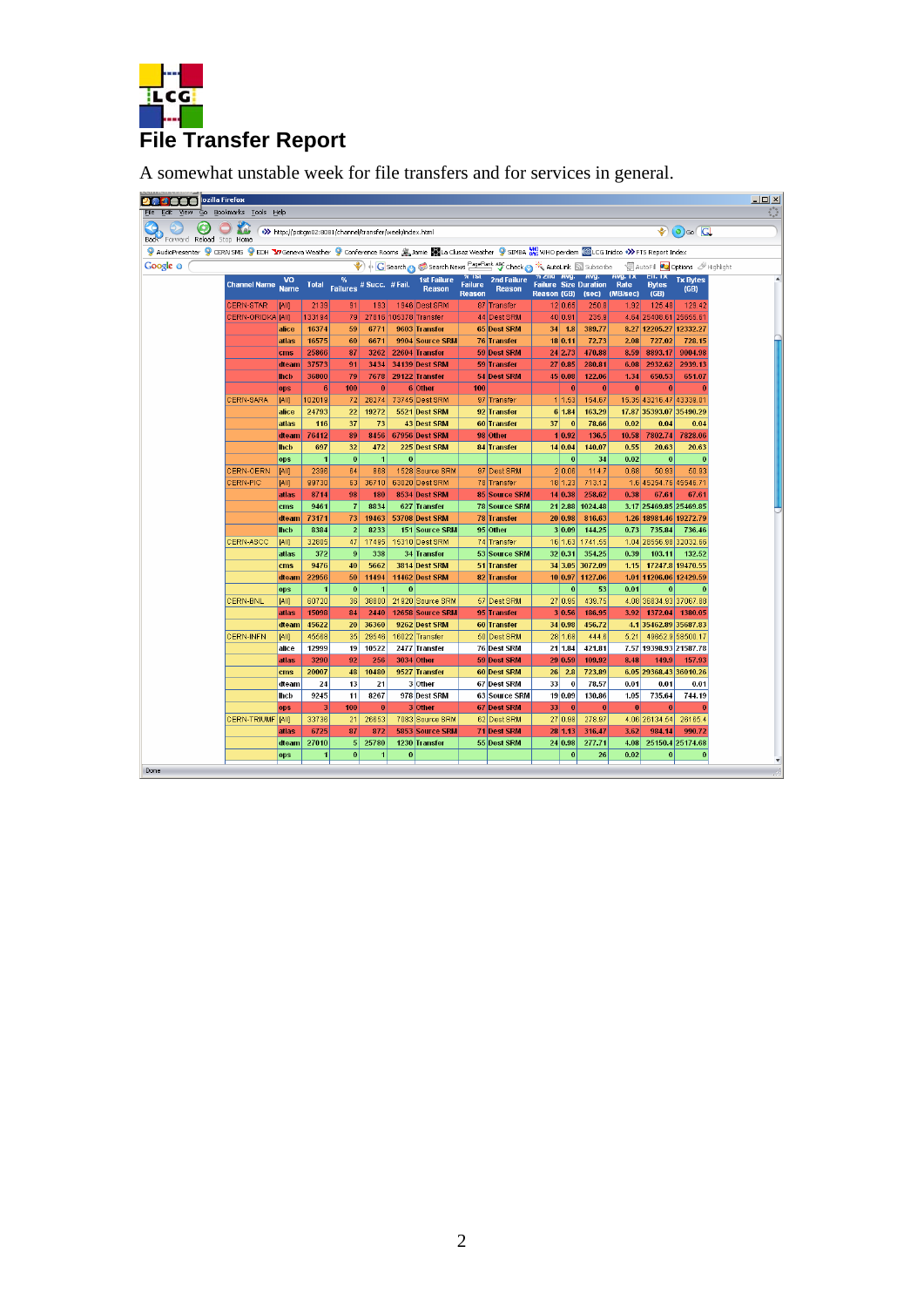

A somewhat unstable week for file transfers and for services in general.

| m<br>View<br>Ğ٥.<br>Editi     | lozilla Firefox<br>Bookmarks Tools Help                                                                                                                       |                      |                      |                                                            |                         |          |                                                                      |                          |                                     |                    |                          |                                            |                |                                  |                                                   |  |
|-------------------------------|---------------------------------------------------------------------------------------------------------------------------------------------------------------|----------------------|----------------------|------------------------------------------------------------|-------------------------|----------|----------------------------------------------------------------------|--------------------------|-------------------------------------|--------------------|--------------------------|--------------------------------------------|----------------|----------------------------------|---------------------------------------------------|--|
|                               |                                                                                                                                                               |                      |                      |                                                            |                         |          |                                                                      |                          |                                     |                    |                          |                                            |                |                                  |                                                   |  |
| Back Forward Reload Stop Home |                                                                                                                                                               |                      |                      | >>>> http://pcitqm02:8081/channel/transfer/week/index.html |                         |          |                                                                      |                          |                                     |                    |                          |                                            |                |                                  | $\odot$ $\odot$ $\odot$ $\odot$                   |  |
|                               | 9 AudioPresenter 9 CERN SMS 9 EDH T27 Geneva Weather 9 Conference Rooms 2, Jamie Nata Clusaz Weather 9 SIMBA XXX WHO perdiem @LCG Inidco +>> FT5 Report Index |                      |                      |                                                            |                         |          |                                                                      |                          |                                     |                    |                          |                                            |                |                                  |                                                   |  |
|                               |                                                                                                                                                               |                      |                      |                                                            |                         |          |                                                                      |                          |                                     |                    |                          |                                            |                |                                  |                                                   |  |
| Google o                      |                                                                                                                                                               |                      |                      |                                                            |                         |          | C Search a Search News PageRank APC Check a the AutoLink a Subscribe | 70 TSL                   |                                     |                    |                          | 70 ZNG AVG. AVG.                           | <b>AVG. 1X</b> | <b>EII. IX</b>                   | AutoFill <b>20</b> Options <b><i>Millight</i></b> |  |
|                               | <b>Channel Name</b>                                                                                                                                           | vo<br><b>Name</b>    | <b>Total</b>         | $\frac{\%}{\%}$ # Succ. # Fail.                            |                         |          | 1st Failure<br><b>Reason</b>                                         | Failure<br><b>Reason</b> | <b>2nd Failure</b><br><b>Reason</b> | <b>Reason (GB)</b> |                          | <b>Failure Size Duration Rate</b><br>(sec) | (MB/sec)       | <b>Bytes</b><br>(GB)             | <b>Tx Bytes</b><br>(GB)                           |  |
|                               | <b>CERN-STAR</b>                                                                                                                                              | <b>JAII</b>          | 2139                 | 91                                                         | 193                     |          | 1946 Dest SRM                                                        |                          | 87 Transfer                         |                    | 12 0.65                  | 250.8                                      | 1.92           | 125.48                           | 129.42                                            |  |
|                               | CERN-GRIDKA JAIII                                                                                                                                             |                      | 133194               | 79                                                         |                         |          | 27816 105378 Transfer                                                |                          | 44 Dest SRM                         |                    | 40 0.91                  | 235.9                                      |                | 4.64 25408.61 25655.61           |                                                   |  |
|                               |                                                                                                                                                               | alice                | 16374                | 59                                                         | 6771                    |          | 9603 Transfer                                                        |                          | 65 Dest SRM                         |                    | 34   1.8                 | 389.77                                     |                | 8.27 12205.27 12332.27           |                                                   |  |
|                               |                                                                                                                                                               | atlas                | 16575                | 60                                                         | 6671                    |          | 9904 Source SRM                                                      |                          | 76 Transfer                         |                    | 18 0.11                  | 72.73                                      | 2.08           | 727.02                           | 728.15                                            |  |
|                               |                                                                                                                                                               | cms                  | 25866                | 87                                                         | 3262                    |          | 22604 Transfer                                                       |                          | <b>59 Dest SRM</b>                  |                    | 24 2.73                  | 470.88                                     | 8.59           | 8893.17                          | 9004.98                                           |  |
|                               |                                                                                                                                                               | dteam                | 37573                | 91                                                         | 3434                    |          | <b>34139 Dest SRM</b>                                                |                          | 59 Transfer                         |                    | 27 0.85                  | 280.81                                     | 6.08           | 2932.62                          | 2939.13                                           |  |
|                               |                                                                                                                                                               | <b>Incb</b>          | 36800                | 79                                                         | 7678                    |          | 29122 Transfer                                                       |                          | 54 Dest SRM                         |                    | 45 0.08                  | 122.06                                     | 1.34           | 650.53                           | 651.07                                            |  |
|                               |                                                                                                                                                               | ops                  | 6                    | 100                                                        | $\mathbf{0}$            |          | 6 Other                                                              | 100                      |                                     |                    | $\bf{0}$                 | $\bf{0}$                                   | $\mathbf{0}$   | $\bf{0}$                         |                                                   |  |
|                               | <b>CERN-SARA</b>                                                                                                                                              | [All]                | 102019               | 72                                                         | 28274                   |          | 73745 Dest SRM                                                       |                          | 97 Transfer                         |                    | 1 1.53                   | 154.67                                     |                | 15.35 43216.47 43339.01          |                                                   |  |
|                               |                                                                                                                                                               | alice                | 24793                | 22                                                         | 19272                   |          | 5521 Dest SRM                                                        |                          | 92 Transfer                         |                    | 6 1.84                   | 163.29                                     |                | 17.87 35393.07 35490.29          |                                                   |  |
|                               |                                                                                                                                                               | atlas                | 116                  | 37                                                         | 73                      |          | 43 Dest SRM                                                          |                          | 60 Transfer                         | 37                 | $\overline{0}$           | 78.66                                      | 0.02           | 0.04                             | 0.04                                              |  |
|                               |                                                                                                                                                               | dteam                | 76412                | 89                                                         | 8456                    |          | 67956 Dest SRM                                                       |                          | 98 Other                            |                    | 1 0.92                   | 136.5                                      | 10.58          | 7802.74                          | 7828.06                                           |  |
|                               |                                                                                                                                                               | <b>Incb</b>          | 697                  | 32                                                         | 472                     |          | 225 Dest SRM                                                         |                          | 84 Transfer                         |                    | 14 0.04                  | 140.07                                     | 0.55           | 20.63                            | 20.63                                             |  |
|                               |                                                                                                                                                               | ops                  | $\blacksquare$       | $\bf{0}$                                                   | $\mathbf{1}$            | $\bf{0}$ |                                                                      |                          |                                     |                    | $\mathbf{0}$             | 34                                         | 0.02           | $\bf{0}$                         | $\mathbf 0$                                       |  |
|                               | <b>CERN-CERN</b>                                                                                                                                              | <b>TAIII</b>         | 2396                 | 64                                                         | 868                     |          | 1528 Source SRM                                                      |                          | 97 Dest SRM                         |                    | 2 0.06                   | 114.7                                      | 0.68           | 50.93                            | 50.93                                             |  |
|                               | CERN-PIC                                                                                                                                                      | <b>JAII</b>          | 99730                | 63                                                         | 36710                   |          | 63020 Dest SRM                                                       |                          | 78 Transfer                         |                    | 18 1.23                  | 713.12                                     |                | 1.6 45254.76 45546.71            |                                                   |  |
|                               |                                                                                                                                                               | atlas                | 8714                 | 98                                                         | 180                     |          | 8534 Dest SRM                                                        |                          | <b>85 Source SRM</b>                |                    | 14 0.38                  | 258.62                                     | 0.38           | 67.61                            | 67.61                                             |  |
|                               |                                                                                                                                                               | cms                  | 9461                 | $\overline{7}$                                             | 8834                    |          | 627 Transfer                                                         |                          | <b>78 Source SRM</b>                |                    |                          | 21 2.88 1024.48                            |                | 3.17 25469.85 25469.85           |                                                   |  |
|                               |                                                                                                                                                               | dteam<br><b>Inch</b> | 73171<br>8384        | 73<br>$\overline{2}$                                       | 19463<br>8233           |          | 53708 Dest SRM<br>151 Source SRM                                     |                          | 78 Transfer<br>95 Other             |                    | 20 0.98 <br>3 0.09       | 816.63<br>144.25                           | 0.73           | 1.26 18981.46 19272.79<br>735.84 | 736.46                                            |  |
|                               | CERN-ASCC                                                                                                                                                     | <b>JAII</b>          | 32805                | 47                                                         | 17495                   |          | 15310 Dest SRM                                                       |                          | 74 Transfer                         |                    |                          | 16 1.63 1741.55                            |                | 1.04 28556.98 32032.66           |                                                   |  |
|                               |                                                                                                                                                               | atlas                | 372                  | 9                                                          | 338                     |          | 34 Transfer                                                          |                          | 53 Source SRM                       |                    | 32 0.31                  | 354.25                                     | 0.39           | 103.11                           | 132.52                                            |  |
|                               |                                                                                                                                                               | cms                  | 9476                 | 40                                                         | 5662                    |          | 3814 Dest SRM                                                        |                          | 51 Transfer                         |                    |                          | 34 3.05 3072.09                            | 1.15           |                                  | 17247.8 19470.55                                  |  |
|                               |                                                                                                                                                               | dteam                | 22956                | 50                                                         | 11494                   |          | 11462 Dest SRM                                                       |                          | 82 Transfer                         |                    |                          | 10 0.97 1127.06                            |                | 1.01 11206.06 12429.59           |                                                   |  |
|                               |                                                                                                                                                               | ops                  | $\blacktriangleleft$ | $\bf{0}$                                                   | $\mathbf{1}$            | $\bf{0}$ |                                                                      |                          |                                     |                    | $\vert$ 0                | 53                                         | 0.01           | $\Omega$                         | $\Omega$                                          |  |
|                               | <b>CERN-BNL</b>                                                                                                                                               | [All]                | 60720                | 36                                                         | 38800                   |          | 21920 Source SRM                                                     |                          | 57 Dest SRM                         |                    | 27 0.95                  | 439.75                                     |                |                                  | 4.08 36834.93 37067.88                            |  |
|                               |                                                                                                                                                               | atlas                | 15098                | 84                                                         | 2440                    |          | 12658 Source SRM                                                     |                          | 95 Transfer                         |                    | 3 0.56                   | 186.95                                     | 3.92           |                                  | 1372.04 1380.05                                   |  |
|                               |                                                                                                                                                               | dteam                | 45622                | 20                                                         | 36360                   |          | 9262 Dest SRM                                                        |                          | 60 Transfer                         |                    | 34 0.98                  | 456.72                                     |                | 4.135462.8935687.83              |                                                   |  |
|                               | <b>CERN-INFN</b>                                                                                                                                              | [AII]                | 45568                | 35                                                         | 29546                   |          | 16022 Transfer                                                       |                          | 50 Dest SRM                         |                    | 28 1.68                  | 444.6                                      | 5.21           |                                  | 49652.9 58500.17                                  |  |
|                               |                                                                                                                                                               | alice                | 12999                | 19                                                         | 10522                   |          | 2477 Transfer                                                        |                          | 76 Dest SRM                         |                    | 21   1.84                | 421.81                                     | 7.57           |                                  | 19398.93 21587.78                                 |  |
|                               |                                                                                                                                                               | atlas                | 3290                 | 92                                                         | 256                     |          | 3034 Other                                                           |                          | 59 Dest SRM                         |                    | 29 0.59                  | 109.92                                     | 8.48           | 149.9                            | 157.93                                            |  |
|                               |                                                                                                                                                               | cms                  | 20007                | 48                                                         | 10480                   |          | 9527 Transfer                                                        |                          | 60 Dest SRM                         | 26                 | 2.8                      | 723.89                                     |                | 6.05 29368.43 36010.26           |                                                   |  |
|                               |                                                                                                                                                               | dteam                | 24                   | 13                                                         | 21                      |          | 3 Other                                                              |                          | 67 Dest SRM                         | 33                 | $\mathbf{0}$             | 78.57                                      | 0.01           | 0.01                             | 0.01                                              |  |
|                               |                                                                                                                                                               | Incb                 | 9245                 | 11                                                         | 8267                    |          | 978 Dest SRM                                                         |                          | 63 Source SRM                       |                    | 19 0.09                  | 130.86                                     | 1.05           | 735.64                           | 744.19                                            |  |
|                               |                                                                                                                                                               | ops                  | 3                    | 100                                                        | 0                       |          | 3 Other                                                              |                          | 67 Dest SRM                         | 33                 | $\vert$ 0                | $\bf{0}$                                   | $\mathbf{0}$   | $\mathbf{0}$                     | $\mathbf{0}$                                      |  |
|                               | <b>CERN-TRIUMF</b>                                                                                                                                            | [All]                | 33736                | 21                                                         | 26653                   |          | 7083 Source SRM                                                      |                          | 62 Dest SRM                         |                    | 27 0.98                  | 278.97                                     |                | 4.06 26134.54                    | 26165.4                                           |  |
|                               |                                                                                                                                                               | atlas                | 6725                 | 87                                                         | 872                     |          | 5853 Source SRM                                                      |                          | 71 Dest SRM                         |                    | 28 1.13                  | 316.47                                     | 3.62           | 984.14                           | 990.72                                            |  |
|                               |                                                                                                                                                               | dteam                | 27010<br>4           | 5 <sub>l</sub>                                             | 25780<br>$\overline{1}$ |          | 1230 Transfer                                                        |                          | 55 Dest SRM                         |                    | 24 0.98 <br>$\mathbf{0}$ | 277.71                                     | 4.08           | $\theta$                         | 25150.4 25174.68<br>$\mathbf{0}$                  |  |
|                               |                                                                                                                                                               | ops                  |                      | $\bf{0}$                                                   |                         | $\bf{0}$ |                                                                      |                          |                                     |                    |                          | 26                                         | 0.02           |                                  |                                                   |  |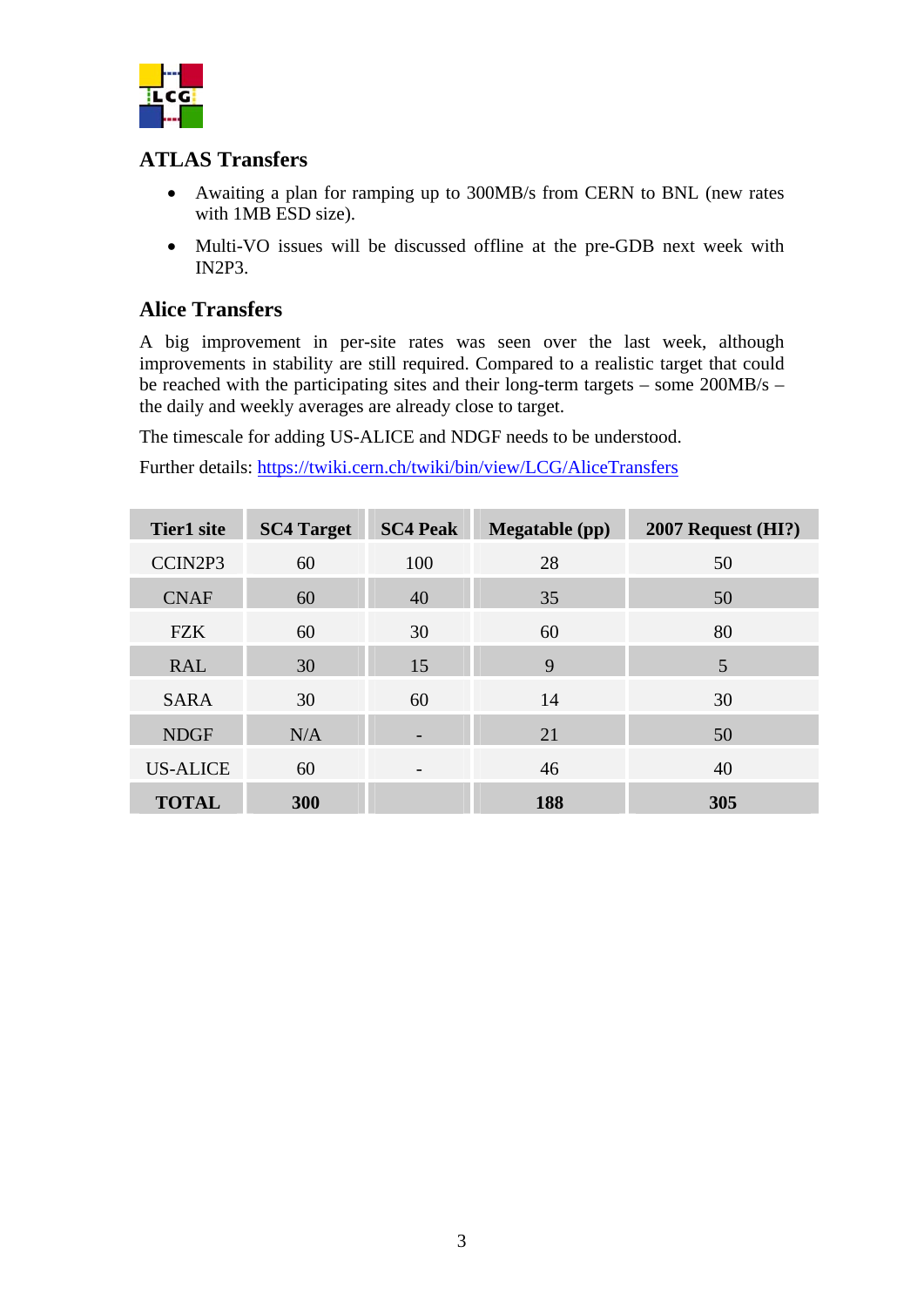

### **ATLAS Transfers**

- Awaiting a plan for ramping up to 300MB/s from CERN to BNL (new rates with 1MB ESD size).
- Multi-VO issues will be discussed offline at the pre-GDB next week with IN2P3.

### **Alice Transfers**

A big improvement in per-site rates was seen over the last week, although improvements in stability are still required. Compared to a realistic target that could be reached with the participating sites and their long-term targets – some 200MB/s – the daily and weekly averages are already close to target.

The timescale for adding US-ALICE and NDGF needs to be understood.

Further details: <https://twiki.cern.ch/twiki/bin/view/LCG/AliceTransfers>

| <b>Tier1</b> site | <b>SC4 Target</b> | <b>SC4 Peak</b>          | <b>Megatable</b> (pp) | $2007$ Request (HI?) |
|-------------------|-------------------|--------------------------|-----------------------|----------------------|
| CCIN2P3           | 60                | 100                      | 28                    | 50                   |
| <b>CNAF</b>       | 60                | 40                       | 35                    | 50                   |
| <b>FZK</b>        | 60                | 30                       | 60                    | 80                   |
| <b>RAL</b>        | 30                | 15                       | 9                     | 5                    |
| <b>SARA</b>       | 30                | 60                       | 14                    | 30                   |
| <b>NDGF</b>       | N/A               |                          | 21                    | 50                   |
| <b>US-ALICE</b>   | 60                | $\overline{\phantom{a}}$ | 46                    | 40                   |
| <b>TOTAL</b>      | 300               |                          | 188                   | 305                  |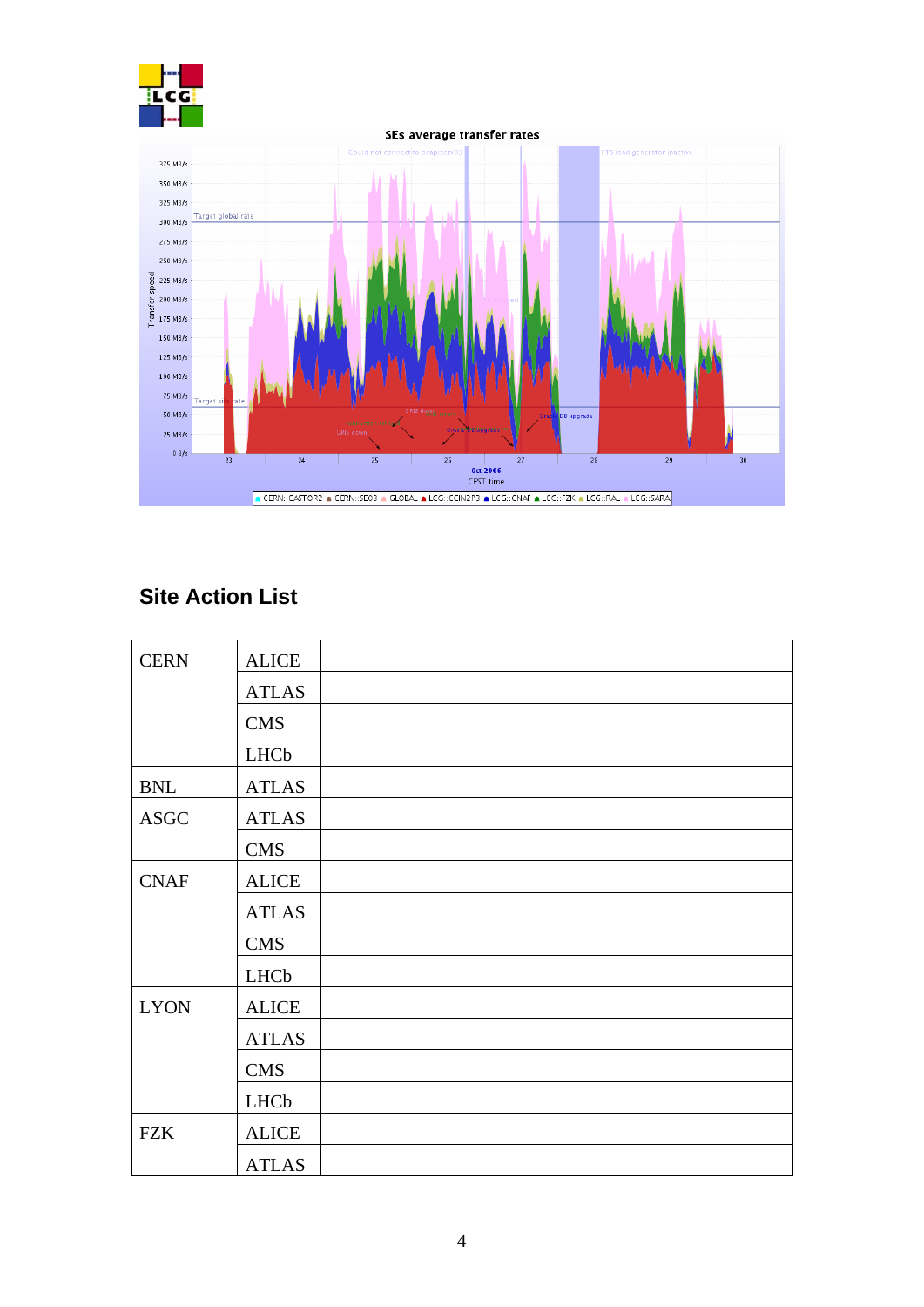



# **Site Action List**

| <b>CERN</b> | <b>ALICE</b> |
|-------------|--------------|
|             | <b>ATLAS</b> |
|             | <b>CMS</b>   |
|             | <b>LHCb</b>  |
| <b>BNL</b>  | <b>ATLAS</b> |
| <b>ASGC</b> | <b>ATLAS</b> |
|             | <b>CMS</b>   |
| <b>CNAF</b> | <b>ALICE</b> |
|             | <b>ATLAS</b> |
|             | <b>CMS</b>   |
|             | LHCb         |
| <b>LYON</b> | <b>ALICE</b> |
|             | <b>ATLAS</b> |
|             | <b>CMS</b>   |
|             | LHCb         |
| <b>FZK</b>  | <b>ALICE</b> |
|             | <b>ATLAS</b> |